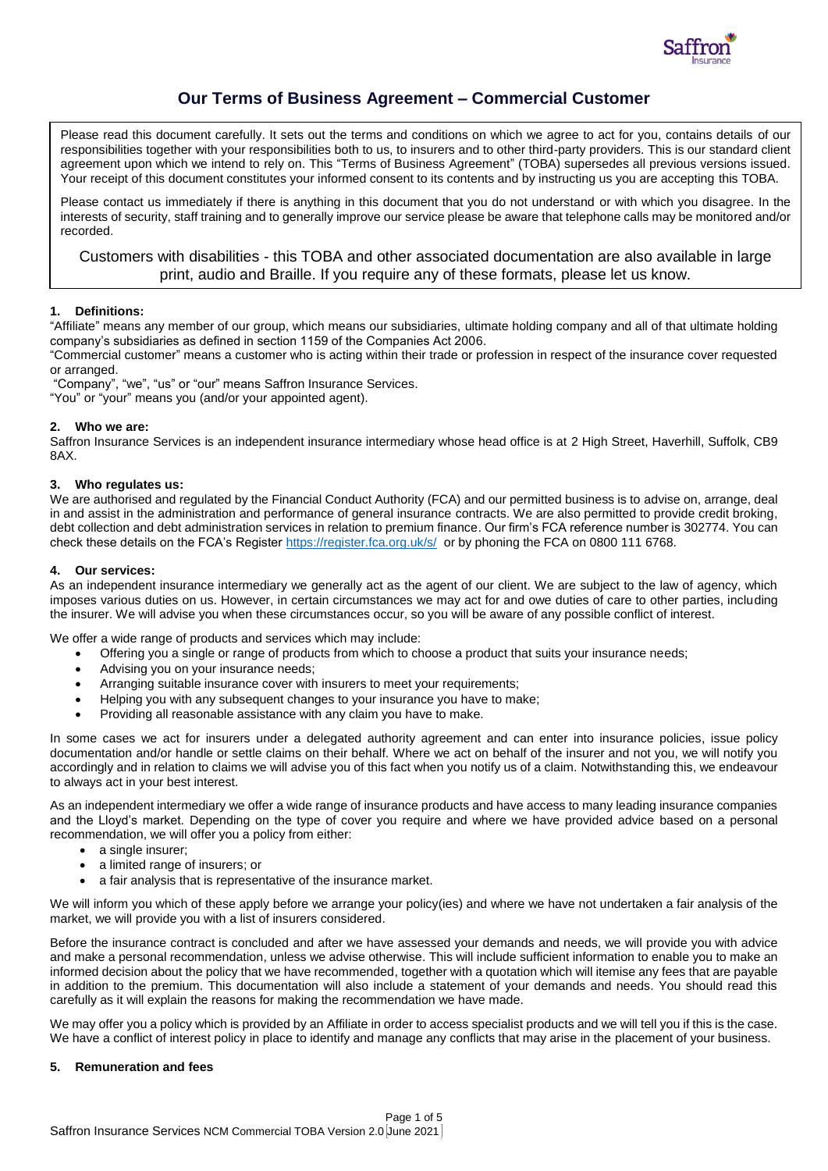

# **Our Terms of Business Agreement – Commercial Customer**

Please read this document carefully. It sets out the terms and conditions on which we agree to act for you, contains details of our responsibilities together with your responsibilities both to us, to insurers and to other third-party providers. This is our standard client agreement upon which we intend to rely on. This "Terms of Business Agreement" (TOBA) supersedes all previous versions issued. Your receipt of this document constitutes your informed consent to its contents and by instructing us you are accepting this TOBA.

Please contact us immediately if there is anything in this document that you do not understand or with which you disagree. In the interests of security, staff training and to generally improve our service please be aware that telephone calls may be monitored and/or recorded.

# Customers with disabilities - this TOBA and other associated documentation are also available in large print, audio and Braille. If you require any of these formats, please let us know.

# **1. Definitions:**

"Affiliate" means any member of our group, which means our subsidiaries, ultimate holding company and all of that ultimate holding company's subsidiaries as defined in section 1159 of the Companies Act 2006.

"Commercial customer" means a customer who is acting within their trade or profession in respect of the insurance cover requested or arranged.

"Company", "we", "us" or "our" means Saffron Insurance Services.

"You" or "your" means you (and/or your appointed agent).

### **2. Who we are:**

Saffron Insurance Services is an independent insurance intermediary whose head office is at 2 High Street, Haverhill, Suffolk, CB9 8AX.

### **3. Who regulates us:**

We are authorised and regulated by the Financial Conduct Authority (FCA) and our permitted business is to advise on, arrange, deal in and assist in the administration and performance of general insurance contracts. We are also permitted to provide credit broking, debt collection and debt administration services in relation to premium finance. Our firm's FCA reference number is 302774. You can check these details on the FCA's Register<https://register.fca.org.uk/s/>or by phoning the FCA on 0800 111 6768.

# **4. Our services:**

As an independent insurance intermediary we generally act as the agent of our client. We are subject to the law of agency, which imposes various duties on us. However, in certain circumstances we may act for and owe duties of care to other parties, including the insurer. We will advise you when these circumstances occur, so you will be aware of any possible conflict of interest.

We offer a wide range of products and services which may include:

- Offering you a single or range of products from which to choose a product that suits your insurance needs;
- Advising you on your insurance needs;
- Arranging suitable insurance cover with insurers to meet your requirements;
- Helping you with any subsequent changes to your insurance you have to make;
- Providing all reasonable assistance with any claim you have to make.

In some cases we act for insurers under a delegated authority agreement and can enter into insurance policies, issue policy documentation and/or handle or settle claims on their behalf. Where we act on behalf of the insurer and not you, we will notify you accordingly and in relation to claims we will advise you of this fact when you notify us of a claim. Notwithstanding this, we endeavour to always act in your best interest.

As an independent intermediary we offer a wide range of insurance products and have access to many leading insurance companies and the Lloyd's market. Depending on the type of cover you require and where we have provided advice based on a personal recommendation, we will offer you a policy from either:

- a single insurer;
- a limited range of insurers; or
- a fair analysis that is representative of the insurance market.

We will inform you which of these apply before we arrange your policy(ies) and where we have not undertaken a fair analysis of the market, we will provide you with a list of insurers considered.

Before the insurance contract is concluded and after we have assessed your demands and needs, we will provide you with advice and make a personal recommendation, unless we advise otherwise. This will include sufficient information to enable you to make an informed decision about the policy that we have recommended, together with a quotation which will itemise any fees that are payable in addition to the premium. This documentation will also include a statement of your demands and needs. You should read this carefully as it will explain the reasons for making the recommendation we have made.

We may offer you a policy which is provided by an Affiliate in order to access specialist products and we will tell you if this is the case. We have a conflict of interest policy in place to identify and manage any conflicts that may arise in the placement of your business.

### **5. Remuneration and fees**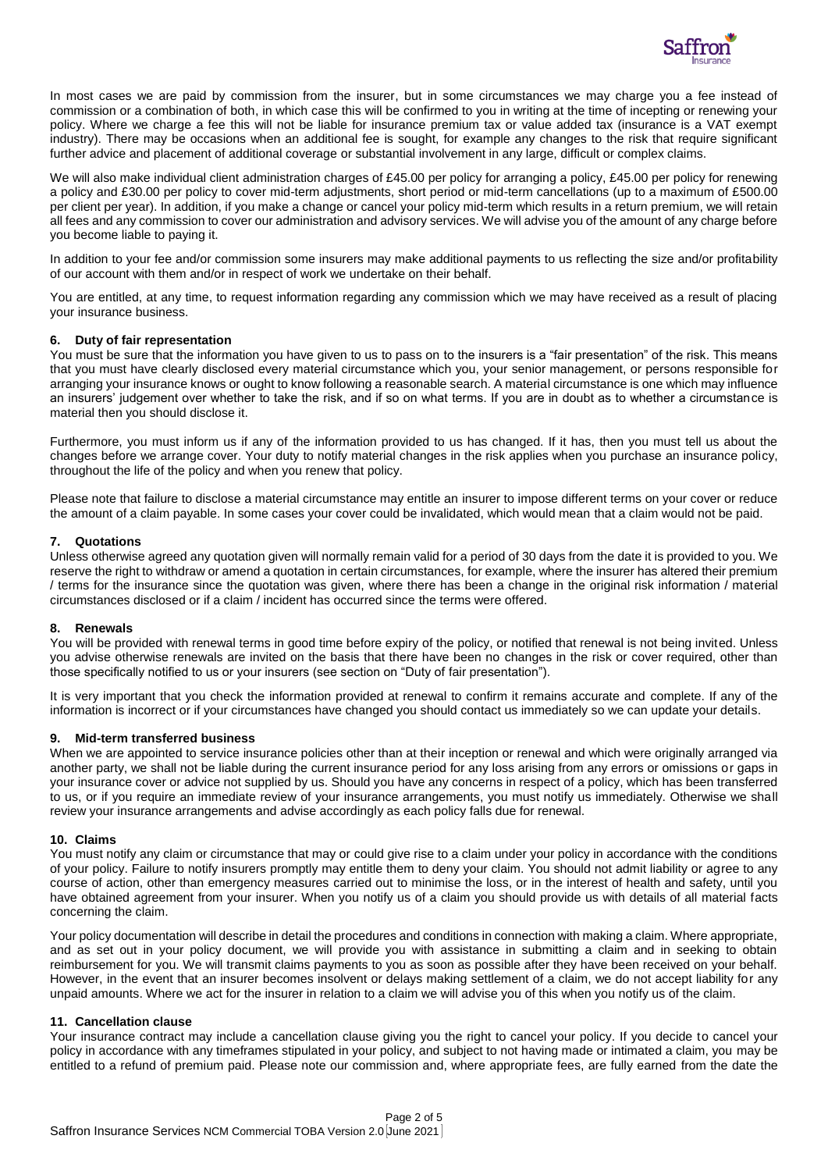

In most cases we are paid by commission from the insurer, but in some circumstances we may charge you a fee instead of commission or a combination of both, in which case this will be confirmed to you in writing at the time of incepting or renewing your policy. Where we charge a fee this will not be liable for insurance premium tax or value added tax (insurance is a VAT exempt industry). There may be occasions when an additional fee is sought, for example any changes to the risk that require significant further advice and placement of additional coverage or substantial involvement in any large, difficult or complex claims.

We will also make individual client administration charges of £45.00 per policy for arranging a policy, £45.00 per policy for renewing a policy and £30.00 per policy to cover mid-term adjustments, short period or mid-term cancellations (up to a maximum of £500.00 per client per year). In addition, if you make a change or cancel your policy mid-term which results in a return premium, we will retain all fees and any commission to cover our administration and advisory services. We will advise you of the amount of any charge before you become liable to paying it.

In addition to your fee and/or commission some insurers may make additional payments to us reflecting the size and/or profitability of our account with them and/or in respect of work we undertake on their behalf.

You are entitled, at any time, to request information regarding any commission which we may have received as a result of placing your insurance business.

#### **6. Duty of fair representation**

You must be sure that the information you have given to us to pass on to the insurers is a "fair presentation" of the risk. This means that you must have clearly disclosed every material circumstance which you, your senior management, or persons responsible for arranging your insurance knows or ought to know following a reasonable search. A material circumstance is one which may influence an insurers' judgement over whether to take the risk, and if so on what terms. If you are in doubt as to whether a circumstance is material then you should disclose it.

Furthermore, you must inform us if any of the information provided to us has changed. If it has, then you must tell us about the changes before we arrange cover. Your duty to notify material changes in the risk applies when you purchase an insurance policy, throughout the life of the policy and when you renew that policy.

Please note that failure to disclose a material circumstance may entitle an insurer to impose different terms on your cover or reduce the amount of a claim payable. In some cases your cover could be invalidated, which would mean that a claim would not be paid.

#### **7. Quotations**

Unless otherwise agreed any quotation given will normally remain valid for a period of 30 days from the date it is provided to you. We reserve the right to withdraw or amend a quotation in certain circumstances, for example, where the insurer has altered their premium / terms for the insurance since the quotation was given, where there has been a change in the original risk information / material circumstances disclosed or if a claim / incident has occurred since the terms were offered.

#### **8. Renewals**

You will be provided with renewal terms in good time before expiry of the policy, or notified that renewal is not being invited. Unless you advise otherwise renewals are invited on the basis that there have been no changes in the risk or cover required, other than those specifically notified to us or your insurers (see section on "Duty of fair presentation").

It is very important that you check the information provided at renewal to confirm it remains accurate and complete. If any of the information is incorrect or if your circumstances have changed you should contact us immediately so we can update your details.

#### **9. Mid-term transferred business**

When we are appointed to service insurance policies other than at their inception or renewal and which were originally arranged via another party, we shall not be liable during the current insurance period for any loss arising from any errors or omissions or gaps in your insurance cover or advice not supplied by us. Should you have any concerns in respect of a policy, which has been transferred to us, or if you require an immediate review of your insurance arrangements, you must notify us immediately. Otherwise we shall review your insurance arrangements and advise accordingly as each policy falls due for renewal.

#### **10. Claims**

You must notify any claim or circumstance that may or could give rise to a claim under your policy in accordance with the conditions of your policy. Failure to notify insurers promptly may entitle them to deny your claim. You should not admit liability or agree to any course of action, other than emergency measures carried out to minimise the loss, or in the interest of health and safety, until you have obtained agreement from your insurer. When you notify us of a claim you should provide us with details of all material facts concerning the claim.

Your policy documentation will describe in detail the procedures and conditions in connection with making a claim. Where appropriate, and as set out in your policy document, we will provide you with assistance in submitting a claim and in seeking to obtain reimbursement for you. We will transmit claims payments to you as soon as possible after they have been received on your behalf. However, in the event that an insurer becomes insolvent or delays making settlement of a claim, we do not accept liability for any unpaid amounts. Where we act for the insurer in relation to a claim we will advise you of this when you notify us of the claim.

#### **11. Cancellation clause**

Your insurance contract may include a cancellation clause giving you the right to cancel your policy. If you decide to cancel your policy in accordance with any timeframes stipulated in your policy, and subject to not having made or intimated a claim, you may be entitled to a refund of premium paid. Please note our commission and, where appropriate fees, are fully earned from the date the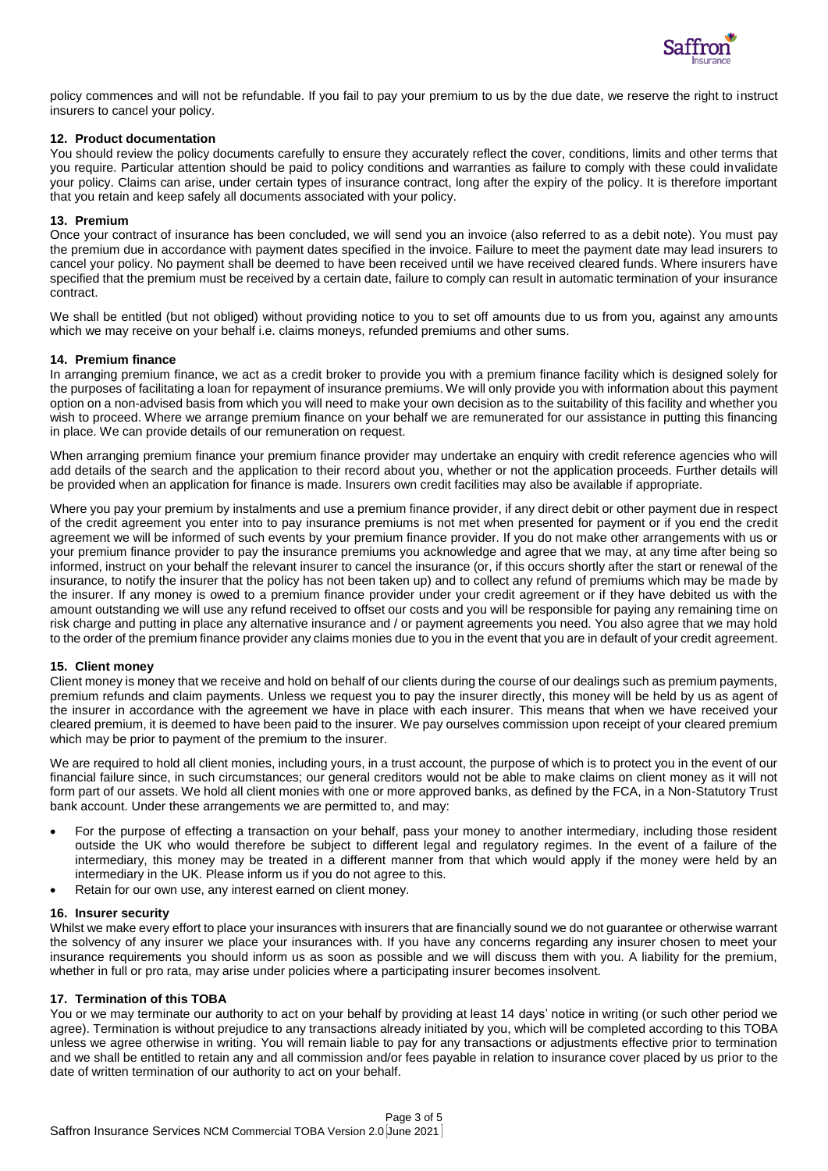

policy commences and will not be refundable. If you fail to pay your premium to us by the due date, we reserve the right to instruct insurers to cancel your policy.

### **12. Product documentation**

You should review the policy documents carefully to ensure they accurately reflect the cover, conditions, limits and other terms that you require. Particular attention should be paid to policy conditions and warranties as failure to comply with these could invalidate your policy. Claims can arise, under certain types of insurance contract, long after the expiry of the policy. It is therefore important that you retain and keep safely all documents associated with your policy.

## **13. Premium**

Once your contract of insurance has been concluded, we will send you an invoice (also referred to as a debit note). You must pay the premium due in accordance with payment dates specified in the invoice. Failure to meet the payment date may lead insurers to cancel your policy. No payment shall be deemed to have been received until we have received cleared funds. Where insurers have specified that the premium must be received by a certain date, failure to comply can result in automatic termination of your insurance contract.

We shall be entitled (but not obliged) without providing notice to you to set off amounts due to us from you, against any amounts which we may receive on your behalf i.e. claims moneys, refunded premiums and other sums.

### **14. Premium finance**

In arranging premium finance, we act as a credit broker to provide you with a premium finance facility which is designed solely for the purposes of facilitating a loan for repayment of insurance premiums. We will only provide you with information about this payment option on a non-advised basis from which you will need to make your own decision as to the suitability of this facility and whether you wish to proceed. Where we arrange premium finance on your behalf we are remunerated for our assistance in putting this financing in place. We can provide details of our remuneration on request.

When arranging premium finance your premium finance provider may undertake an enquiry with credit reference agencies who will add details of the search and the application to their record about you, whether or not the application proceeds. Further details will be provided when an application for finance is made. Insurers own credit facilities may also be available if appropriate.

Where you pay your premium by instalments and use a premium finance provider, if any direct debit or other payment due in respect of the credit agreement you enter into to pay insurance premiums is not met when presented for payment or if you end the credit agreement we will be informed of such events by your premium finance provider. If you do not make other arrangements with us or your premium finance provider to pay the insurance premiums you acknowledge and agree that we may, at any time after being so informed, instruct on your behalf the relevant insurer to cancel the insurance (or, if this occurs shortly after the start or renewal of the insurance, to notify the insurer that the policy has not been taken up) and to collect any refund of premiums which may be made by the insurer. If any money is owed to a premium finance provider under your credit agreement or if they have debited us with the amount outstanding we will use any refund received to offset our costs and you will be responsible for paying any remaining time on risk charge and putting in place any alternative insurance and / or payment agreements you need. You also agree that we may hold to the order of the premium finance provider any claims monies due to you in the event that you are in default of your credit agreement.

### **15. Client money**

Client money is money that we receive and hold on behalf of our clients during the course of our dealings such as premium payments, premium refunds and claim payments. Unless we request you to pay the insurer directly, this money will be held by us as agent of the insurer in accordance with the agreement we have in place with each insurer. This means that when we have received your cleared premium, it is deemed to have been paid to the insurer. We pay ourselves commission upon receipt of your cleared premium which may be prior to payment of the premium to the insurer.

We are required to hold all client monies, including yours, in a trust account, the purpose of which is to protect you in the event of our financial failure since, in such circumstances; our general creditors would not be able to make claims on client money as it will not form part of our assets. We hold all client monies with one or more approved banks, as defined by the FCA, in a Non-Statutory Trust bank account. Under these arrangements we are permitted to, and may:

- For the purpose of effecting a transaction on your behalf, pass your money to another intermediary, including those resident outside the UK who would therefore be subject to different legal and regulatory regimes. In the event of a failure of the intermediary, this money may be treated in a different manner from that which would apply if the money were held by an intermediary in the UK. Please inform us if you do not agree to this.
- Retain for our own use, any interest earned on client money.

### **16. Insurer security**

Whilst we make every effort to place your insurances with insurers that are financially sound we do not guarantee or otherwise warrant the solvency of any insurer we place your insurances with. If you have any concerns regarding any insurer chosen to meet your insurance requirements you should inform us as soon as possible and we will discuss them with you. A liability for the premium, whether in full or pro rata, may arise under policies where a participating insurer becomes insolvent.

## **17. Termination of this TOBA**

You or we may terminate our authority to act on your behalf by providing at least 14 days' notice in writing (or such other period we agree). Termination is without prejudice to any transactions already initiated by you, which will be completed according to this TOBA unless we agree otherwise in writing. You will remain liable to pay for any transactions or adjustments effective prior to termination and we shall be entitled to retain any and all commission and/or fees payable in relation to insurance cover placed by us prior to the date of written termination of our authority to act on your behalf.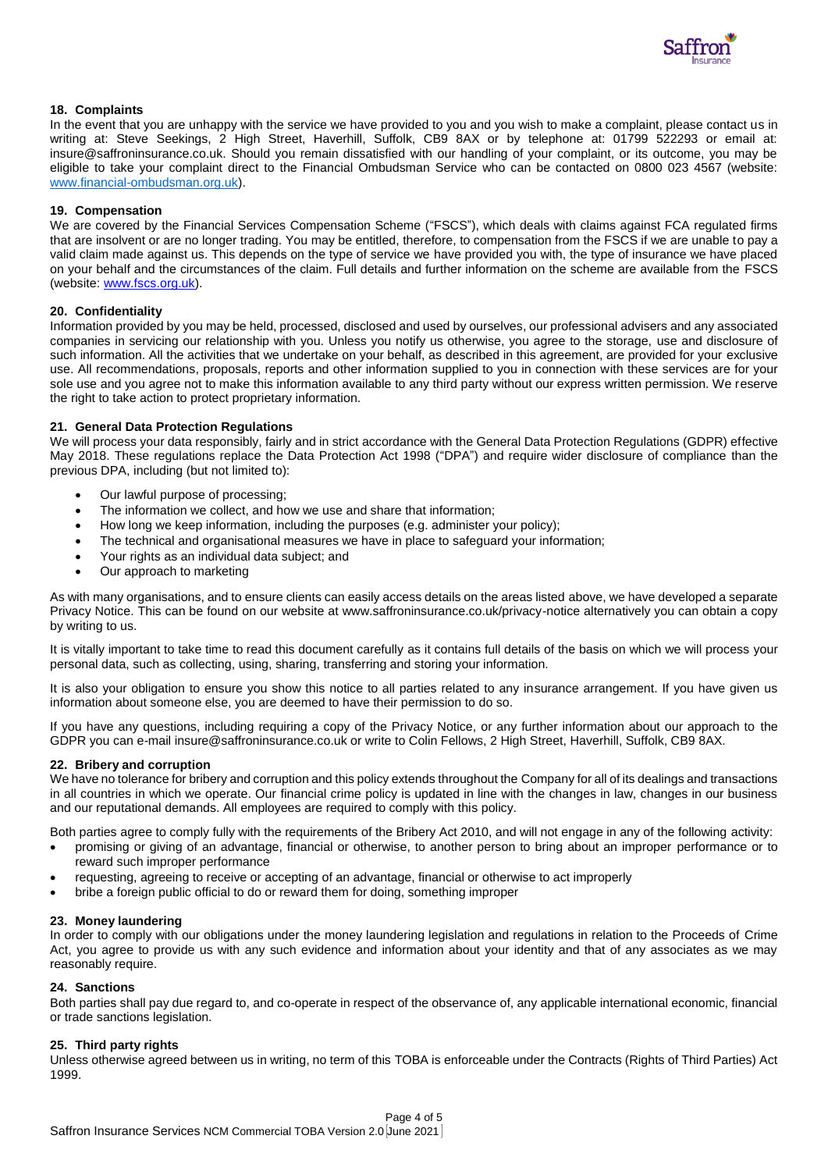

# **18. Complaints**

In the event that you are unhappy with the service we have provided to you and you wish to make a complaint, please contact us in writing at: Steve Seekings, 2 High Street, Haverhill, Suffolk, CB9 8AX or by telephone at: 01799 522293 or email at: insure@saffroninsurance.co.uk. Should you remain dissatisfied with our handling of your complaint, or its outcome, you may be eligible to take your complaint direct to the Financial Ombudsman Service who can be contacted on 0800 023 4567 (website: [www.financial-ombudsman.org.uk\)](http://www.financial-ombudsman.org.uk/).

### **19. Compensation**

We are covered by the Financial Services Compensation Scheme ("FSCS"), which deals with claims against FCA regulated firms that are insolvent or are no longer trading. You may be entitled, therefore, to compensation from the FSCS if we are unable to pay a valid claim made against us. This depends on the type of service we have provided you with, the type of insurance we have placed on your behalf and the circumstances of the claim. Full details and further information on the scheme are available from the FSCS (website[: www.fscs.org.uk\)](http://www.fscs.org.uk/).

### **20. Confidentiality**

Information provided by you may be held, processed, disclosed and used by ourselves, our professional advisers and any associated companies in servicing our relationship with you. Unless you notify us otherwise, you agree to the storage, use and disclosure of such information. All the activities that we undertake on your behalf, as described in this agreement, are provided for your exclusive use. All recommendations, proposals, reports and other information supplied to you in connection with these services are for your sole use and you agree not to make this information available to any third party without our express written permission. We reserve the right to take action to protect proprietary information.

# **21. General Data Protection Regulations**

We will process your data responsibly, fairly and in strict accordance with the General Data Protection Regulations (GDPR) effective May 2018. These regulations replace the Data Protection Act 1998 ("DPA") and require wider disclosure of compliance than the previous DPA, including (but not limited to):

- Our lawful purpose of processing;
- The information we collect, and how we use and share that information;
- How long we keep information, including the purposes (e.g. administer your policy);
- The technical and organisational measures we have in place to safeguard your information;
- Your rights as an individual data subject; and
- Our approach to marketing

As with many organisations, and to ensure clients can easily access details on the areas listed above, we have developed a separate Privacy Notice. This can be found on our website at www.saffroninsurance.co.uk/privacy-notice alternatively you can obtain a copy by writing to us.

It is vitally important to take time to read this document carefully as it contains full details of the basis on which we will process your personal data, such as collecting, using, sharing, transferring and storing your information.

It is also your obligation to ensure you show this notice to all parties related to any insurance arrangement. If you have given us information about someone else, you are deemed to have their permission to do so.

If you have any questions, including requiring a copy of the Privacy Notice, or any further information about our approach to the GDPR you can e-mail insure@saffroninsurance.co.uk or write to Colin Fellows, 2 High Street, Haverhill, Suffolk, CB9 8AX.

### **22. Bribery and corruption**

We have no tolerance for bribery and corruption and this policy extends throughout the Company for all of its dealings and transactions in all countries in which we operate. Our financial crime policy is updated in line with the changes in law, changes in our business and our reputational demands. All employees are required to comply with this policy.

Both parties agree to comply fully with the requirements of the Bribery Act 2010, and will not engage in any of the following activity:

- promising or giving of an advantage, financial or otherwise, to another person to bring about an improper performance or to reward such improper performance
- requesting, agreeing to receive or accepting of an advantage, financial or otherwise to act improperly
- bribe a foreign public official to do or reward them for doing, something improper

### **23. Money laundering**

In order to comply with our obligations under the money laundering legislation and regulations in relation to the Proceeds of Crime Act, you agree to provide us with any such evidence and information about your identity and that of any associates as we may reasonably require.

### **24. Sanctions**

Both parties shall pay due regard to, and co-operate in respect of the observance of, any applicable international economic, financial or trade sanctions legislation.

### **25. Third party rights**

Unless otherwise agreed between us in writing, no term of this TOBA is enforceable under the Contracts (Rights of Third Parties) Act 1999.